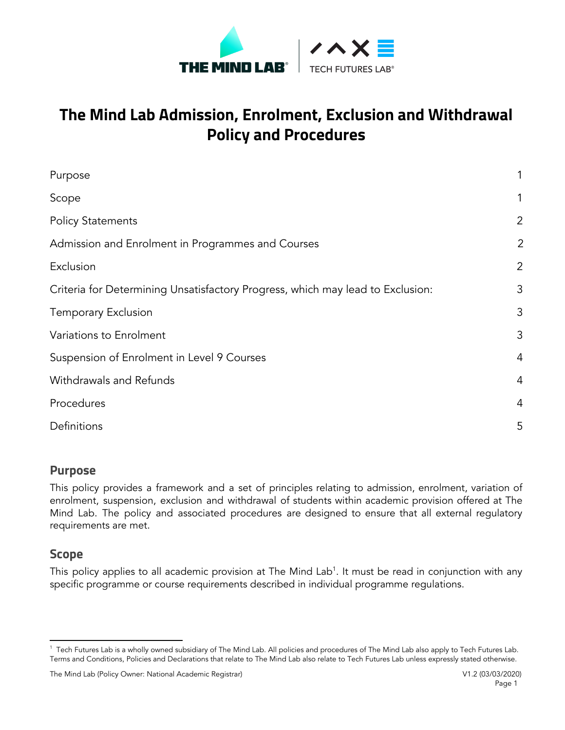

# **The Mind Lab Admission, Enrolment, Exclusion and Withdrawal Policy and Procedures**

| Purpose                                                                        |                |
|--------------------------------------------------------------------------------|----------------|
| Scope                                                                          |                |
| <b>Policy Statements</b>                                                       | $\overline{2}$ |
| Admission and Enrolment in Programmes and Courses                              | $\overline{2}$ |
| Exclusion                                                                      | 2              |
| Criteria for Determining Unsatisfactory Progress, which may lead to Exclusion: | 3              |
| <b>Temporary Exclusion</b>                                                     | 3              |
| Variations to Enrolment                                                        | 3              |
| Suspension of Enrolment in Level 9 Courses                                     | $\overline{4}$ |
| Withdrawals and Refunds                                                        | $\overline{4}$ |
| Procedures                                                                     | $\overline{4}$ |
| Definitions                                                                    | 5              |
|                                                                                |                |

#### <span id="page-0-0"></span>**Purpose**

This policy provides a framework and a set of principles relating to admission, enrolment, variation of enrolment, suspension, exclusion and withdrawal of students within academic provision offered at The Mind Lab. The policy and associated procedures are designed to ensure that all external regulatory requirements are met.

#### <span id="page-0-1"></span>**Scope**

This policy applies to all academic provision at The Mind Lab<sup>1</sup>. It must be read in conjunction with any specific programme or course requirements described in individual programme regulations.

<sup>&</sup>lt;sup>1</sup> Tech Futures Lab is a wholly owned subsidiary of The Mind Lab. All policies and procedures of The Mind Lab also apply to Tech Futures Lab. Terms and Conditions, Policies and Declarations that relate to The Mind Lab also relate to Tech Futures Lab unless expressly stated otherwise.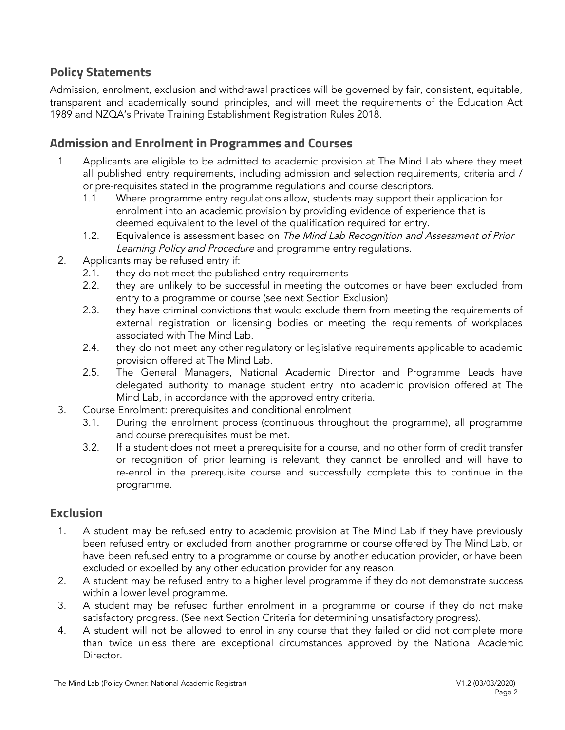### <span id="page-1-0"></span>**Policy Statements**

Admission, enrolment, exclusion and withdrawal practices will be governed by fair, consistent, equitable, transparent and academically sound principles, and will meet the requirements of the Education Act 1989 and NZQA's Private Training Establishment Registration Rules 2018.

#### <span id="page-1-1"></span>**Admission and Enrolment in Programmes and Courses**

- 1. Applicants are eligible to be admitted to academic provision at The Mind Lab where they meet all published entry requirements, including admission and selection requirements, criteria and / or pre-requisites stated in the programme regulations and course descriptors.
	- 1.1. Where programme entry regulations allow, students may support their application for enrolment into an academic provision by providing evidence of experience that is deemed equivalent to the level of the qualification required for entry.
	- 1.2. Equivalence is assessment based on The Mind Lab Recognition and Assessment of Prior Learning Policy and Procedure and programme entry regulations.
- 2. Applicants may be refused entry if:
	- 2.1. they do not meet the published entry requirements
	- 2.2. they are unlikely to be successful in meeting the outcomes or have been excluded from entry to a programme or course (see next Section Exclusion)
	- 2.3. they have criminal convictions that would exclude them from meeting the requirements of external registration or licensing bodies or meeting the requirements of workplaces associated with The Mind Lab.
	- 2.4. they do not meet any other regulatory or legislative requirements applicable to academic provision offered at The Mind Lab.
	- 2.5. The General Managers, National Academic Director and Programme Leads have delegated authority to manage student entry into academic provision offered at The Mind Lab, in accordance with the approved entry criteria.
- 3. Course Enrolment: prerequisites and conditional enrolment
	- 3.1. During the enrolment process (continuous throughout the programme), all programme and course prerequisites must be met.
	- 3.2. If a student does not meet a prerequisite for a course, and no other form of credit transfer or recognition of prior learning is relevant, they cannot be enrolled and will have to re-enrol in the prerequisite course and successfully complete this to continue in the programme.

#### <span id="page-1-2"></span>**Exclusion**

- 1. A student may be refused entry to academic provision at The Mind Lab if they have previously been refused entry or excluded from another programme or course offered by The Mind Lab, or have been refused entry to a programme or course by another education provider, or have been excluded or expelled by any other education provider for any reason.
- 2. A student may be refused entry to a higher level programme if they do not demonstrate success within a lower level programme.
- 3. A student may be refused further enrolment in a programme or course if they do not make satisfactory progress. (See next Section Criteria for determining unsatisfactory progress).
- 4. A student will not be allowed to enrol in any course that they failed or did not complete more than twice unless there are exceptional circumstances approved by the National Academic Director.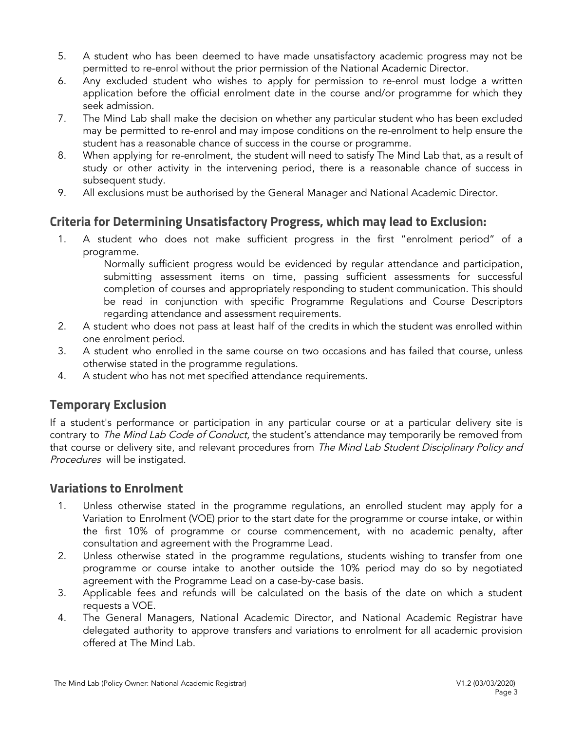- 5. A student who has been deemed to have made unsatisfactory academic progress may not be permitted to re-enrol without the prior permission of the National Academic Director.
- 6. Any excluded student who wishes to apply for permission to re-enrol must lodge a written application before the official enrolment date in the course and/or programme for which they seek admission.
- 7. The Mind Lab shall make the decision on whether any particular student who has been excluded may be permitted to re-enrol and may impose conditions on the re-enrolment to help ensure the student has a reasonable chance of success in the course or programme.
- 8. When applying for re-enrolment, the student will need to satisfy The Mind Lab that, as a result of study or other activity in the intervening period, there is a reasonable chance of success in subsequent study.
- <span id="page-2-0"></span>9. All exclusions must be authorised by the General Manager and National Academic Director.

## **Criteria for Determining Unsatisfactory Progress, which may lead to Exclusion:**

1. A student who does not make sufficient progress in the first "enrolment period" of a programme.

Normally sufficient progress would be evidenced by regular attendance and participation, submitting assessment items on time, passing sufficient assessments for successful completion of courses and appropriately responding to student communication. This should be read in conjunction with specific Programme Regulations and Course Descriptors regarding attendance and assessment requirements.

- 2. A student who does not pass at least half of the credits in which the student was enrolled within one enrolment period.
- 3. A student who enrolled in the same course on two occasions and has failed that course, unless otherwise stated in the programme regulations.
- <span id="page-2-1"></span>4. A student who has not met specified attendance requirements.

## **Temporary Exclusion**

If a student's performance or participation in any particular course or at a particular delivery site is contrary to The Mind Lab Code of Conduct, the student's attendance may temporarily be removed from that course or delivery site, and relevant procedures from The Mind Lab Student Disciplinary Policy and Procedures will be instigated.

#### <span id="page-2-2"></span>**Variations to Enrolment**

- 1. Unless otherwise stated in the programme regulations, an enrolled student may apply for a Variation to Enrolment (VOE) prior to the start date for the programme or course intake, or within the first 10% of programme or course commencement, with no academic penalty, after consultation and agreement with the Programme Lead.
- 2. Unless otherwise stated in the programme regulations, students wishing to transfer from one programme or course intake to another outside the 10% period may do so by negotiated agreement with the Programme Lead on a case-by-case basis.
- 3. Applicable fees and refunds will be calculated on the basis of the date on which a student requests a VOE.
- 4. The General Managers, National Academic Director, and National Academic Registrar have delegated authority to approve transfers and variations to enrolment for all academic provision offered at The Mind Lab.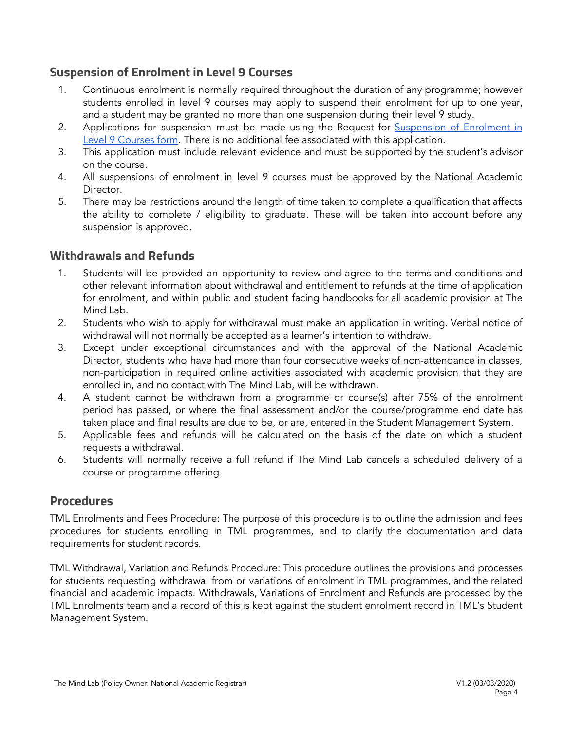### <span id="page-3-0"></span>**Suspension of Enrolment in Level 9 Courses**

- 1. Continuous enrolment is normally required throughout the duration of any programme; however students enrolled in level 9 courses may apply to suspend their enrolment for up to one year, and a student may be granted no more than one suspension during their level 9 study.
- 2. Applications for suspension must be made using the Request for [Suspension](https://themindlab.com/request-for-suspension-of-enrolment-for-level-9-courses/) of Enrolment in Level 9 [Courses](https://themindlab.com/request-for-suspension-of-enrolment-for-level-9-courses/) form. There is no additional fee associated with this application.
- 3. This application must include relevant evidence and must be supported by the student's advisor on the course.
- 4. All suspensions of enrolment in level 9 courses must be approved by the National Academic Director.
- 5. There may be restrictions around the length of time taken to complete a qualification that affects the ability to complete / eligibility to graduate. These will be taken into account before any suspension is approved.

#### <span id="page-3-1"></span>**Withdrawals and Refunds**

- 1. Students will be provided an opportunity to review and agree to the terms and conditions and other relevant information about withdrawal and entitlement to refunds at the time of application for enrolment, and within public and student facing handbooks for all academic provision at The Mind Lab.
- 2. Students who wish to apply for withdrawal must make an application in writing. Verbal notice of withdrawal will not normally be accepted as a learner's intention to withdraw.
- 3. Except under exceptional circumstances and with the approval of the National Academic Director, students who have had more than four consecutive weeks of non-attendance in classes, non-participation in required online activities associated with academic provision that they are enrolled in, and no contact with The Mind Lab, will be withdrawn.
- 4. A student cannot be withdrawn from a programme or course(s) after 75% of the enrolment period has passed, or where the final assessment and/or the course/programme end date has taken place and final results are due to be, or are, entered in the Student Management System.
- 5. Applicable fees and refunds will be calculated on the basis of the date on which a student requests a withdrawal.
- 6. Students will normally receive a full refund if The Mind Lab cancels a scheduled delivery of a course or programme offering.

#### <span id="page-3-2"></span>**Procedures**

TML [Enrolments](https://drive.google.com/open?id=1Sp_lLTTNyKgk2bwPuwPhJfSAc8tf7VA6) and Fees Procedure: The purpose of this procedure is to outline the admission and fees procedures for students enrolling in TML programmes, and to clarify the documentation and data requirements for student records.

TML [Withdrawal,](https://drive.google.com/open?id=1FBgIT-43e1TRs0ku6kLjfSE6ko1xkMno) Variation and Refunds Procedure: This procedure outlines the provisions and processes for students requesting withdrawal from or variations of enrolment in TML programmes, and the related financial and academic impacts. Withdrawals, Variations of Enrolment and Refunds are processed by the TML Enrolments team and a record of this is kept against the student enrolment record in TML's Student Management System.